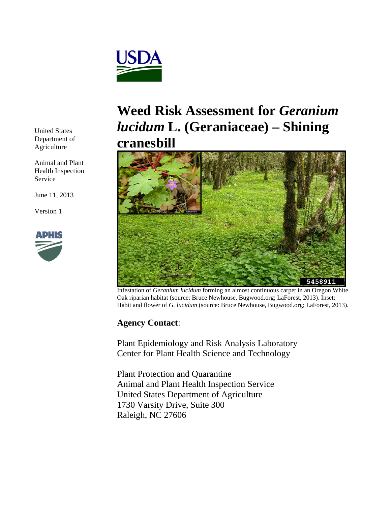

United States Department of Agriculture

Animal and Plant Health Inspection Service

June 11, 2013

Version 1



# **Weed Risk Assessment for** *Geranium lucidum* **L. (Geraniaceae) – Shining cranesbill**



Infestation of *Geranium lucidum* forming an almost continuous carpet in an Oregon White Oak riparian habitat (source: Bruce Newhouse, Bugwood.org; LaForest, 2013). Inset: Habit and flower of *G. lucidum* (source: Bruce Newhouse, Bugwood.org; LaForest, 2013).

## **Agency Contact**:

Plant Epidemiology and Risk Analysis Laboratory Center for Plant Health Science and Technology

Plant Protection and Quarantine Animal and Plant Health Inspection Service United States Department of Agriculture 1730 Varsity Drive, Suite 300 Raleigh, NC 27606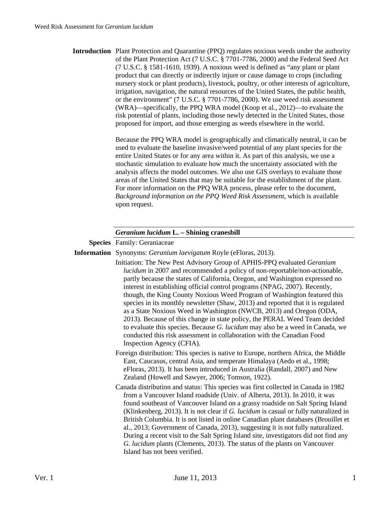| <b>Introduction</b> Plant Protection and Quarantine (PPQ) regulates noxious weeds under the authority |
|-------------------------------------------------------------------------------------------------------|
| of the Plant Protection Act (7 U.S.C. § 7701-7786, 2000) and the Federal Seed Act                     |
| $(7 \text{ U.S.C. } \S 1581-1610, 1939)$ . A noxious weed is defined as "any plant or plant"          |
| product that can directly or indirectly injure or cause damage to crops (including                    |
| nursery stock or plant products), livestock, poultry, or other interests of agriculture,              |
| irrigation, navigation, the natural resources of the United States, the public health,                |
| or the environment" (7 U.S.C. § 7701-7786, 2000). We use weed risk assessment                         |
| (WRA)—specifically, the PPQ WRA model (Koop et al., 2012)—to evaluate the                             |
| risk potential of plants, including those newly detected in the United States, those                  |
| proposed for import, and those emerging as weeds elsewhere in the world.                              |
|                                                                                                       |

Because the PPQ WRA model is geographically and climatically neutral, it can be used to evaluate the baseline invasive/weed potential of any plant species for the entire United States or for any area within it. As part of this analysis, we use a stochastic simulation to evaluate how much the uncertainty associated with the analysis affects the model outcomes. We also use GIS overlays to evaluate those areas of the United States that may be suitable for the establishment of the plant. For more information on the PPQ WRA process, please refer to the document, *Background information on the PPQ Weed Risk Assessment*, which is available upon request.

#### *Geranium lucidum* **L. – Shining cranesbill**

**Species** Family: Geraniaceae

**Information** Synonyms: *Geranium laevigatum* Royle (eFloras, 2013).

- Initiation: The New Pest Advisory Group of APHIS-PPQ evaluated *Geranium lucidum* in 2007 and recommended a policy of non-reportable/non-actionable, partly because the states of California, Oregon, and Washington expressed no interest in establishing official control programs (NPAG, 2007). Recently, though, the King County Noxious Weed Program of Washington featured this species in its monthly newsletter (Shaw, 2013) and reported that it is regulated as a State Noxious Weed in Washington (NWCB, 2013) and Oregon (ODA, 2013). Because of this change in state policy, the PERAL Weed Team decided to evaluate this species. Because *G. lucidum* may also be a weed in Canada, we conducted this risk assessment in collaboration with the Canadian Food Inspection Agency (CFIA).
- Foreign distribution: This species is native to Europe, northern Africa, the Middle East, Caucasus, central Asia, and temperate Himalaya (Aedo et al., 1998; eFloras, 2013). It has been introduced in Australia (Randall, 2007) and New Zealand (Howell and Sawyer, 2006; Tomson, 1922).

 Canada distribution and status: This species was first collected in Canada in 1982 from a Vancouver Island roadside (Univ. of Alberta, 2013). In 2010, it was found southeast of Vancouver Island on a grassy roadside on Salt Spring Island (Klinkenberg, 2013). It is not clear if *G. lucidum* is casual or fully naturalized in British Columbia. It is not listed in online Canadian plant databases (Brouillet et al., 2013; Government of Canada, 2013), suggesting it is not fully naturalized. During a recent visit to the Salt Spring Island site, investigators did not find any *G. lucidum* plants (Clements, 2013). The status of the plants on Vancouver Island has not been verified.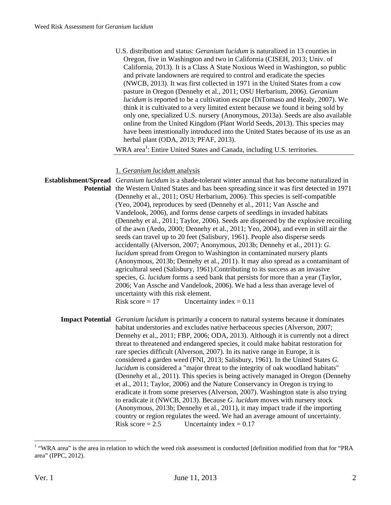| U.S. distribution and status: Geranium lucidum is naturalized in 13 counties in<br>Oregon, five in Washington and two in California (CISEH, 2013; Univ. of<br>California, 2013). It is a Class A State Noxious Weed in Washington, so public<br>and private landowners are required to control and eradicate the species<br>(NWCB, 2013). It was first collected in 1971 in the United States from a cow<br>pasture in Oregon (Dennehy et al., 2011; OSU Herbarium, 2006). Geranium<br>lucidum is reported to be a cultivation escape (DiTomaso and Healy, 2007). We<br>think it is cultivated to a very limited extent because we found it being sold by<br>only one, specialized U.S. nursery (Anonymous, 2013a). Seeds are also available<br>online from the United Kingdom (Plant World Seeds, 2013). This species may<br>have been intentionally introduced into the United States because of its use as an<br>herbal plant (ODA, 2013; PFAF, 2013).<br>WRA area <sup>1</sup> : Entire United States and Canada, including U.S. territories.                                                                                                                                                  |
|----------------------------------------------------------------------------------------------------------------------------------------------------------------------------------------------------------------------------------------------------------------------------------------------------------------------------------------------------------------------------------------------------------------------------------------------------------------------------------------------------------------------------------------------------------------------------------------------------------------------------------------------------------------------------------------------------------------------------------------------------------------------------------------------------------------------------------------------------------------------------------------------------------------------------------------------------------------------------------------------------------------------------------------------------------------------------------------------------------------------------------------------------------------------------------------------------|
|                                                                                                                                                                                                                                                                                                                                                                                                                                                                                                                                                                                                                                                                                                                                                                                                                                                                                                                                                                                                                                                                                                                                                                                                    |
| 1. Geranium lucidum analysis<br><b>Establishment/Spread</b> <i>Geranium lucidum</i> is a shade-tolerant winter annual that has become naturalized in<br><b>Potential</b> the Western United States and has been spreading since it was first detected in 1971                                                                                                                                                                                                                                                                                                                                                                                                                                                                                                                                                                                                                                                                                                                                                                                                                                                                                                                                      |
| (Dennehy et al., 2011; OSU Herbarium, 2006). This species is self-compatible<br>(Yeo, 2004), reproduces by seed (Dennehy et al., 2011; Van Assche and<br>Vandelook, 2006), and forms dense carpets of seedlings in invaded habitats<br>(Dennehy et al., 2011; Taylor, 2006). Seeds are dispersed by the explosive recoiling<br>of the awn (Aedo, 2000; Dennehy et al., 2011; Yeo, 2004), and even in still air the                                                                                                                                                                                                                                                                                                                                                                                                                                                                                                                                                                                                                                                                                                                                                                                 |
| seeds can travel up to 20 feet (Salisbury, 1961). People also disperse seeds<br>accidentally (Alverson, 2007; Anonymous, 2013b; Dennehy et al., 2011): G.<br>lucidum spread from Oregon to Washington in contaminated nursery plants<br>(Anonymous, 2013b; Dennehy et al., 2011). It may also spread as a contaminant of<br>agricultural seed (Salisbury, 1961). Contributing to its success as an invasive<br>species, G. lucidum forms a seed bank that persists for more than a year (Taylor,<br>2006; Van Assche and Vandelook, 2006). We had a less than average level of<br>uncertainty with this risk element.                                                                                                                                                                                                                                                                                                                                                                                                                                                                                                                                                                              |
| Risk score = $17$<br>Uncertainty index = $0.11$                                                                                                                                                                                                                                                                                                                                                                                                                                                                                                                                                                                                                                                                                                                                                                                                                                                                                                                                                                                                                                                                                                                                                    |
| <b>Impact Potential</b> <i>Geranium lucidum</i> is primarily a concern to natural systems because it dominates<br>habitat understories and excludes native herbaceous species (Alverson, 2007;<br>Dennehy et al., 2011; FBP, 2006; ODA, 2013). Although it is currently not a direct<br>threat to threatened and endangered species, it could make habitat restoration for<br>rare species difficult (Alverson, 2007). In its native range in Europe, it is<br>considered a garden weed (FNI, 2013; Salisbury, 1961). In the United States G.<br>lucidum is considered a "major threat to the integrity of oak woodland habitats"<br>(Dennehy et al., 2011). This species is being actively managed in Oregon (Dennehy<br>et al., 2011; Taylor, 2006) and the Nature Conservancy in Oregon is trying to<br>eradicate it from some preserves (Alverson, 2007). Washington state is also trying<br>to eradicate it (NWCB, 2013). Because G. lucidum moves with nursery stock<br>(Anonymous, 2013b; Dennehy et al., 2011), it may impact trade if the importing<br>country or region regulates the weed. We had an average amount of uncertainty.<br>Risk score $= 2.5$<br>Uncertainty index = $0.17$ |

 1 "WRA area" is the area in relation to which the weed risk assessment is conducted [definition modified from that for "PRA area" (IPPC, 2012).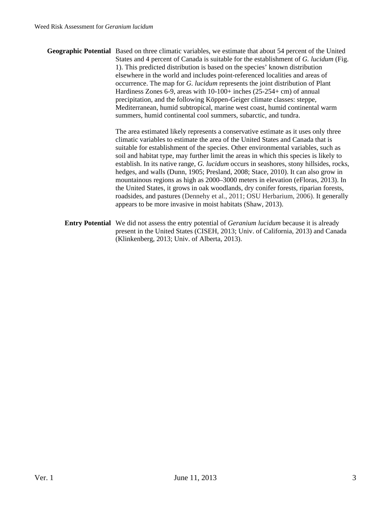**Geographic Potential** Based on three climatic variables, we estimate that about 54 percent of the United States and 4 percent of Canada is suitable for the establishment of *G. lucidum* (Fig. 1). This predicted distribution is based on the species' known distribution elsewhere in the world and includes point-referenced localities and areas of occurrence. The map for *G. lucidum* represents the joint distribution of Plant Hardiness Zones 6-9, areas with 10-100+ inches (25-254+ cm) of annual precipitation, and the following Köppen-Geiger climate classes: steppe, Mediterranean, humid subtropical, marine west coast, humid continental warm summers, humid continental cool summers, subarctic, and tundra.

> The area estimated likely represents a conservative estimate as it uses only three climatic variables to estimate the area of the United States and Canada that is suitable for establishment of the species. Other environmental variables, such as soil and habitat type, may further limit the areas in which this species is likely to establish. In its native range, *G. lucidum* occurs in seashores, stony hillsides, rocks, hedges, and walls (Dunn, 1905; Presland, 2008; Stace, 2010). It can also grow in mountainous regions as high as 2000–3000 meters in elevation (eFloras, 2013). In the United States, it grows in oak woodlands, dry conifer forests, riparian forests, roadsides, and pastures (Dennehy et al., 2011; OSU Herbarium, 2006). It generally appears to be more invasive in moist habitats (Shaw, 2013).

**Entry Potential** We did not assess the entry potential of *Geranium lucidum* because it is already present in the United States (CISEH, 2013; Univ. of California, 2013) and Canada (Klinkenberg, 2013; Univ. of Alberta, 2013).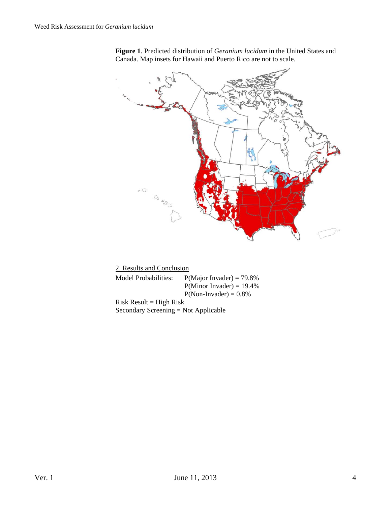

**Figure 1**. Predicted distribution of *Geranium lucidum* in the United States and Canada. Map insets for Hawaii and Puerto Rico are not to scale.

| 2. Results and Conclusion              |                              |
|----------------------------------------|------------------------------|
| Model Probabilities:                   | $P(Major\ Invader) = 79.8\%$ |
|                                        | $P(Minor Invader) = 19.4\%$  |
|                                        | $P(Non- Invader) = 0.8\%$    |
| $Risk Result = High Risk$              |                              |
| Secondary Screening $=$ Not Applicable |                              |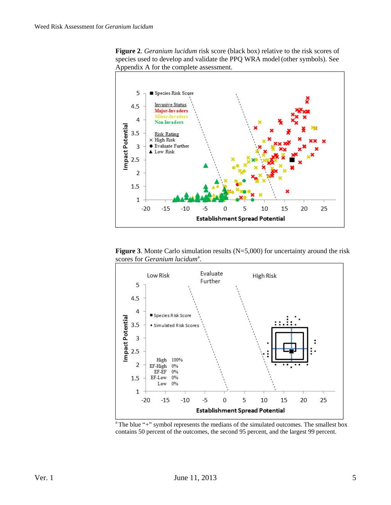



**Figure 3**. Monte Carlo simulation results (N=5,000) for uncertainty around the risk scores for *Geranium lucidum<sup>a</sup>*.



contains 50 percent of the outcomes, the second 95 percent, and the largest 99 percent.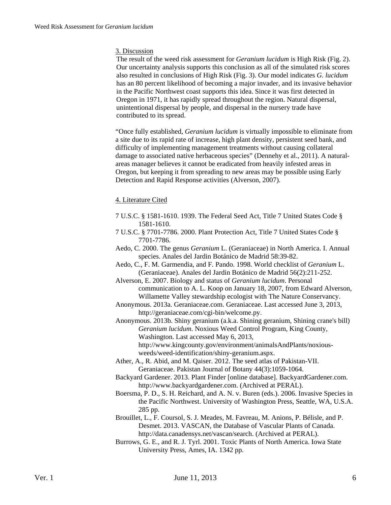### 3. Discussion

The result of the weed risk assessment for *Geranium lucidum* is High Risk (Fig. 2). Our uncertainty analysis supports this conclusion as all of the simulated risk scores also resulted in conclusions of High Risk (Fig. 3). Our model indicates *G. lucidum* has an 80 percent likelihood of becoming a major invader, and its invasive behavior in the Pacific Northwest coast supports this idea. Since it was first detected in Oregon in 1971, it has rapidly spread throughout the region. Natural dispersal, unintentional dispersal by people, and dispersal in the nursery trade have contributed to its spread.

"Once fully established, *Geranium lucidum* is virtually impossible to eliminate from a site due to its rapid rate of increase, high plant density, persistent seed bank, and difficulty of implementing management treatments without causing collateral damage to associated native herbaceous species" (Dennehy et al., 2011). A naturalareas manager believes it cannot be eradicated from heavily infested areas in Oregon, but keeping it from spreading to new areas may be possible using Early Detection and Rapid Response activities (Alverson, 2007).

#### 4. Literature Cited

- 7 U.S.C. § 1581-1610. 1939. The Federal Seed Act, Title 7 United States Code § 1581-1610.
- 7 U.S.C. § 7701-7786. 2000. Plant Protection Act, Title 7 United States Code § 7701-7786.
- Aedo, C. 2000. The genus *Geranium* L. (Geraniaceae) in North America. I. Annual species. Anales del Jardin Botánico de Madrid 58:39-82.
- Aedo, C., F. M. Garmendia, and F. Pando. 1998. World checklist of *Geranium* L. (Geraniaceae). Anales del Jardin Botánico de Madrid 56(2):211-252.
- Alverson, E. 2007. Biology and status of *Geranium lucidum*. Personal communication to A. L. Koop on January 18, 2007, from Edward Alverson, Willamette Valley stewardship ecologist with The Nature Conservancy.
- Anonymous. 2013a. Geraniaceae.com. Geraniaceae. Last accessed June 3, 2013, http://geraniaceae.com/cgi-bin/welcome.py.
- Anonymous. 2013b. Shiny geranium (a.k.a. Shining geranium, Shining crane's bill) *Geranium lucidum*. Noxious Weed Control Program, King County, Washington. Last accessed May 6, 2013, http://www.kingcounty.gov/environment/animalsAndPlants/noxiousweeds/weed-identification/shiny-geranium.aspx.
- Ather, A., R. Abid, and M. Qaiser. 2012. The seed atlas of Pakistan-VII. Geraniaceae. Pakistan Journal of Botany 44(3):1059-1064.
- Backyard Gardener. 2013. Plant Finder [online database]. BackyardGardener.com. http://www.backyardgardener.com. (Archived at PERAL).
- Boersma, P. D., S. H. Reichard, and A. N. v. Buren (eds.). 2006. Invasive Species in the Pacific Northwest. University of Washington Press, Seattle, WA, U.S.A. 285 pp.
- Brouillet, L., F. Coursol, S. J. Meades, M. Favreau, M. Anions, P. Bélisle, and P. Desmet. 2013. VASCAN, the Database of Vascular Plants of Canada. http://data.canadensys.net/vascan/search. (Archived at PERAL).
- Burrows, G. E., and R. J. Tyrl. 2001. Toxic Plants of North America. Iowa State University Press, Ames, IA. 1342 pp.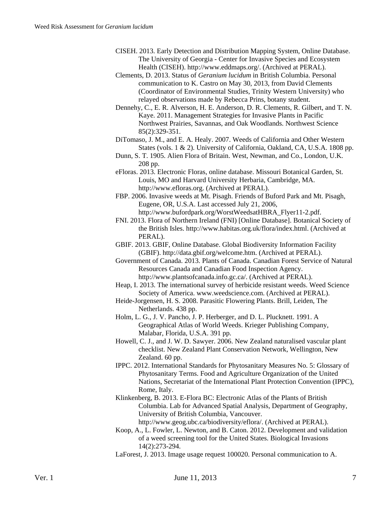- CISEH. 2013. Early Detection and Distribution Mapping System, Online Database. The University of Georgia - Center for Invasive Species and Ecosystem Health (CISEH). http://www.eddmaps.org/. (Archived at PERAL).
- Clements, D. 2013. Status of *Geranium lucidum* in British Columbia. Personal communication to K. Castro on May 30, 2013, from David Clements (Coordinator of Environmental Studies, Trinity Western University) who relayed observations made by Rebecca Prins, botany student.
- Dennehy, C., E. R. Alverson, H. E. Anderson, D. R. Clements, R. Gilbert, and T. N. Kaye. 2011. Management Strategies for Invasive Plants in Pacific Northwest Prairies, Savannas, and Oak Woodlands. Northwest Science 85(2):329-351.
- DiTomaso, J. M., and E. A. Healy. 2007. Weeds of California and Other Western States (vols. 1 & 2). University of California, Oakland, CA, U.S.A. 1808 pp.
- Dunn, S. T. 1905. Alien Flora of Britain. West, Newman, and Co., London, U.K. 208 pp.
- eFloras. 2013. Electronic Floras, online database. Missouri Botanical Garden, St. Louis, MO and Harvard University Herbaria, Cambridge, MA. http://www.efloras.org. (Archived at PERAL).
- FBP. 2006. Invasive weeds at Mt. Pisagh. Friends of Buford Park and Mt. Pisagh, Eugene, OR, U.S.A. Last accessed July 21, 2006, http://www.bufordpark.org/WorstWeedsatHBRA\_Flyer11-2.pdf.
- FNI. 2013. Flora of Northern Ireland (FNI) [Online Database]. Botanical Society of the British Isles. http://www.habitas.org.uk/flora/index.html. (Archived at PERAL).
- GBIF. 2013. GBIF, Online Database. Global Biodiversity Information Facility (GBIF). http://data.gbif.org/welcome.htm. (Archived at PERAL).
- Government of Canada. 2013. Plants of Canada. Canadian Forest Service of Natural Resources Canada and Canadian Food Inspection Agency. http://www.plantsofcanada.info.gc.ca/. (Archived at PERAL).
- Heap, I. 2013. The international survey of herbicide resistant weeds. Weed Science Society of America. www.weedscience.com. (Archived at PERAL).
- Heide-Jorgensen, H. S. 2008. Parasitic Flowering Plants. Brill, Leiden, The Netherlands. 438 pp.
- Holm, L. G., J. V. Pancho, J. P. Herberger, and D. L. Plucknett. 1991. A Geographical Atlas of World Weeds. Krieger Publishing Company, Malabar, Florida, U.S.A. 391 pp.
- Howell, C. J., and J. W. D. Sawyer. 2006. New Zealand naturalised vascular plant checklist. New Zealand Plant Conservation Network, Wellington, New Zealand. 60 pp.
- IPPC. 2012. International Standards for Phytosanitary Measures No. 5: Glossary of Phytosanitary Terms. Food and Agriculture Organization of the United Nations, Secretariat of the International Plant Protection Convention (IPPC), Rome, Italy.
- Klinkenberg, B. 2013. E-Flora BC: Electronic Atlas of the Plants of British Columbia. Lab for Advanced Spatial Analysis, Department of Geography, University of British Columbia, Vancouver.

http://www.geog.ubc.ca/biodiversity/eflora/. (Archived at PERAL).

- Koop, A., L. Fowler, L. Newton, and B. Caton. 2012. Development and validation of a weed screening tool for the United States. Biological Invasions 14(2):273-294.
- LaForest, J. 2013. Image usage request 100020. Personal communication to A.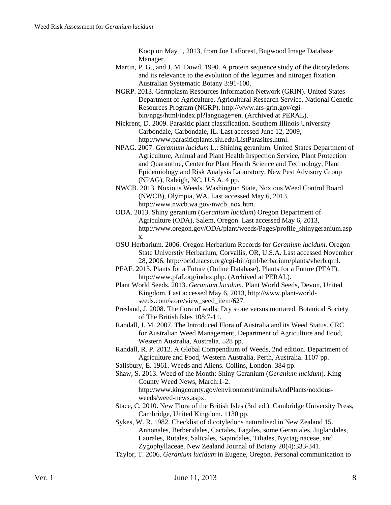Koop on May 1, 2013, from Joe LaForest, Bugwood Image Database Manager.

- Martin, P. G., and J. M. Dowd. 1990. A protein sequence study of the dicotyledons and its relevance to the evolution of the legumes and nitrogen fixation. Australian Systematic Botany 3:91-100.
- NGRP. 2013. Germplasm Resources Information Network (GRIN). United States Department of Agriculture, Agricultural Research Service, National Genetic Resources Program (NGRP). http://www.ars-grin.gov/cgibin/npgs/html/index.pl?language=en. (Archived at PERAL).
- Nickrent, D. 2009. Parasitic plant classification. Southern Illinois University Carbondale, Carbondale, IL. Last accessed June 12, 2009, http://www.parasiticplants.siu.edu/ListParasites.html.
- NPAG. 2007. *Geranium lucidum* L.: Shining geranium. United States Department of Agriculture, Animal and Plant Health Inspection Service, Plant Protection and Quarantine, Center for Plant Health Science and Technology, Plant Epidemiology and Risk Analysis Laboratory, New Pest Advisory Group (NPAG), Raleigh, NC, U.S.A. 4 pp.
- NWCB. 2013. Noxious Weeds. Washington State, Noxious Weed Control Board (NWCB), Olympia, WA. Last accessed May 6, 2013, http://www.nwcb.wa.gov/nwcb\_nox.htm.
- ODA. 2013. Shiny geranium (*Geranium lucidum*) Oregon Department of Agriculture (ODA), Salem, Oregon. Last accessed May 6, 2013, http://www.oregon.gov/ODA/plant/weeds/Pages/profile\_shinygeranium.asp x.
- OSU Herbarium. 2006. Oregon Herbarium Records for *Geranium lucidum*. Oregon State Universtiy Herbarium, Corvallis, OR, U.S.A. Last accessed November 28, 2006, http://ocid.nacse.org/cgi-bin/qml/herbarium/plants/vherb.qml.
- PFAF. 2013. Plants for a Future (Online Database). Plants for a Future (PFAF). http://www.pfaf.org/index.php. (Archived at PERAL).
- Plant World Seeds. 2013. *Geranium lucidum*. Plant World Seeds, Devon, United Kingdom. Last accessed May 6, 2013, http://www.plant-worldseeds.com/store/view\_seed\_item/627.
- Presland, J. 2008. The flora of walls: Dry stone versus mortared. Botanical Society of The British Isles 108:7-11.
- Randall, J. M. 2007. The Introduced Flora of Australia and its Weed Status. CRC for Australian Weed Management, Department of Agriculture and Food, Western Australia, Australia. 528 pp.
- Randall, R. P. 2012. A Global Compendium of Weeds, 2nd edition. Department of Agriculture and Food, Western Australia, Perth, Australia. 1107 pp.
- Salisbury, E. 1961. Weeds and Aliens. Collins, London. 384 pp.
- Shaw, S. 2013. Weed of the Month: Shiny Geranium (*Geranium lucidum*). King County Weed News, March:1-2. http://www.kingcounty.gov/environment/animalsAndPlants/noxiousweeds/weed-news.aspx.
- Stace, C. 2010. New Flora of the British Isles (3rd ed.). Cambridge University Press, Cambridge, United Kingdom. 1130 pp.
- Sykes, W. R. 1982. Checklist of dicotyledons naturalised in New Zealand 15. Annonales, Berberidales, Cactales, Fagales, some Geraniales, Juglandales, Laurales, Rutales, Salicales, Sapindales, Tiliales, Nyctaginaceae, and Zygophyllaceae. New Zealand Journal of Botany 20(4):333-341.
- Taylor, T. 2006. *Geranium lucidum* in Eugene, Oregon. Personal communication to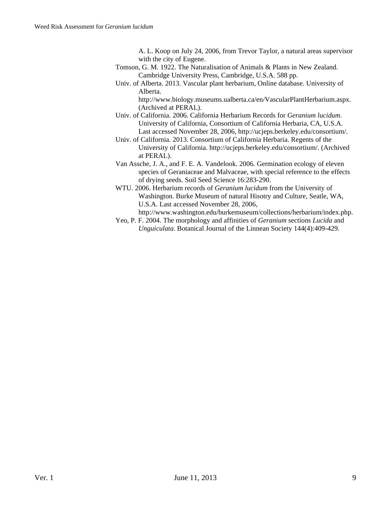A. L. Koop on July 24, 2006, from Trevor Taylor, a natural areas supervisor with the city of Eugene.

- Tomson, G. M. 1922. The Naturalisation of Animals & Plants in New Zealand. Cambridge University Press, Cambridge, U.S.A. 588 pp.
- Univ. of Alberta. 2013. Vascular plant herbarium, Online database. University of Alberta.

http://www.biology.museums.ualberta.ca/en/VascularPlantHerbarium.aspx. (Archived at PERAL).

- Univ. of California. 2006. California Herbarium Records for *Geranium lucidum*. University of California, Consortium of California Herbaria, CA, U.S.A. Last accessed November 28, 2006, http://ucjeps.berkeley.edu/consortium/.
- Univ. of California. 2013. Consortium of California Herbaria. Regents of the University of California. http://ucjeps.berkeley.edu/consortium/. (Archived at PERAL).
- Van Assche, J. A., and F. E. A. Vandelook. 2006. Germination ecology of eleven species of Geraniaceae and Malvaceae, with special reference to the effects of drying seeds. Soil Seed Science 16:283-290.
- WTU. 2006. Herbarium records of *Geranium lucidum* from the University of Washington. Burke Museum of natural Hisotry and Culture, Seatle, WA, U.S.A. Last accessed November 28, 2006,
	- http://www.washington.edu/burkemuseum/collections/herbarium/index.php.
- Yeo, P. F. 2004. The morphology and affinities of *Geranium* sections *Lucida* and *Unguiculata*. Botanical Journal of the Linnean Society 144(4):409-429.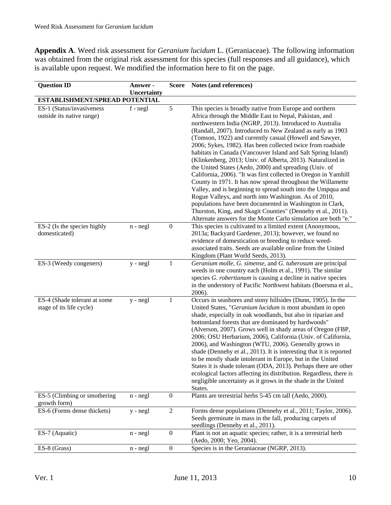**Appendix A**. Weed risk assessment for *Geranium lucidum* L. (Geraniaceae). The following information was obtained from the original risk assessment for this species (full responses and all guidance), which is available upon request. We modified the information here to fit on the page.

| <b>Question ID</b>                                       | Answer -    | <b>Score</b>     | Notes (and references)                                                                                                                                                                                                                                                                                                                                                                                                                                                                                                                                                                                                                                                                                                                                                                                                                                                                                                                                                                                                  |
|----------------------------------------------------------|-------------|------------------|-------------------------------------------------------------------------------------------------------------------------------------------------------------------------------------------------------------------------------------------------------------------------------------------------------------------------------------------------------------------------------------------------------------------------------------------------------------------------------------------------------------------------------------------------------------------------------------------------------------------------------------------------------------------------------------------------------------------------------------------------------------------------------------------------------------------------------------------------------------------------------------------------------------------------------------------------------------------------------------------------------------------------|
|                                                          | Uncertainty |                  |                                                                                                                                                                                                                                                                                                                                                                                                                                                                                                                                                                                                                                                                                                                                                                                                                                                                                                                                                                                                                         |
| ESTABLISHMENT/SPREAD POTENTIAL                           |             |                  |                                                                                                                                                                                                                                                                                                                                                                                                                                                                                                                                                                                                                                                                                                                                                                                                                                                                                                                                                                                                                         |
| ES-1 (Status/invasiveness<br>outside its native range)   | $f - negl$  | 5                | This species is broadly native from Europe and northern<br>Africa through the Middle East to Nepal, Pakistan, and<br>northwestern India (NGRP, 2013). Introduced to Australia<br>(Randall, 2007). Introduced to New Zealand as early as 1903<br>(Tomson, 1922) and currently casual (Howell and Sawyer,<br>2006; Sykes, 1982). Has been collected twice from roadside<br>habitats in Canada (Vancouver Island and Salt Spring Island)<br>(Klinkenberg, 2013; Univ. of Alberta, 2013). Naturalized in<br>the United States (Aedo, 2000) and spreading (Univ. of<br>California, 2006). "It was first collected in Oregon in Yamhill<br>County in 1971. It has now spread throughout the Willamette<br>Valley, and is beginning to spread south into the Umpqua and<br>Rogue Valleys, and north into Washington. As of 2010,<br>populations have been documented in Washington in Clark,<br>Thurston, King, and Skagit Counties" (Dennehy et al., 2011).<br>Alternate answers for the Monte Carlo simulation are both "e." |
| ES-2 (Is the species highly<br>domesticated)             | $n - negl$  | $\boldsymbol{0}$ | This species is cultivated to a limited extent (Anonymous,<br>2013a; Backyard Gardener, 2013); however, we found no<br>evidence of domestication or breeding to reduce weed-                                                                                                                                                                                                                                                                                                                                                                                                                                                                                                                                                                                                                                                                                                                                                                                                                                            |
|                                                          |             |                  | associated traits. Seeds are available online from the United<br>Kingdom (Plant World Seeds, 2013).                                                                                                                                                                                                                                                                                                                                                                                                                                                                                                                                                                                                                                                                                                                                                                                                                                                                                                                     |
| ES-3 (Weedy congeners)                                   | $y - negl$  | 1                | Geranium molle, G. simense, and G. tuberosum are principal<br>weeds in one country each (Holm et al., 1991). The similar<br>species G. robertianum is causing a decline in native species<br>in the understory of Pacific Northwest habitats (Boersma et al.,<br>2006).                                                                                                                                                                                                                                                                                                                                                                                                                                                                                                                                                                                                                                                                                                                                                 |
| ES-4 (Shade tolerant at some<br>stage of its life cycle) | $y - negl$  | $\mathbf{1}$     | Occurs in seashores and stony hillsides (Dunn, 1905). In the<br>United States, "Geranium lucidum is most abundant in open<br>shade, especially in oak woodlands, but also in riparian and<br>bottomland forests that are dominated by hardwoods"<br>(Alverson, 2007). Grows well in shady areas of Oregon (FBP,<br>2006; OSU Herbarium, 2006), California (Univ. of California,<br>2006), and Washington (WTU, 2006). Generally grows in<br>shade (Dennehy et al., 2011). It is interesting that it is reported<br>to be mostly shade intolerant in Europe, but in the United<br>States it is shade tolerant (ODA, 2013). Perhaps there are other<br>ecological factors affecting its distribution. Regardless, there is<br>negligible uncertainty as it grows in the shade in the United<br>States.                                                                                                                                                                                                                    |
| ES-5 (Climbing or smothering<br>growth form)             | $n - negl$  | $\boldsymbol{0}$ | Plants are terrestrial herbs 5-45 cm tall (Aedo, 2000).                                                                                                                                                                                                                                                                                                                                                                                                                                                                                                                                                                                                                                                                                                                                                                                                                                                                                                                                                                 |
| ES-6 (Forms dense thickets)                              | $y - negl$  | $\overline{2}$   | Forms dense populations (Dennehy et al., 2011; Taylor, 2006).<br>Seeds germinate in mass in the fall, producing carpets of<br>seedlings (Dennehy et al., 2011).                                                                                                                                                                                                                                                                                                                                                                                                                                                                                                                                                                                                                                                                                                                                                                                                                                                         |
| ES-7 (Aquatic)                                           | n - negl    | $\boldsymbol{0}$ | Plant is not an aquatic species; rather, it is a terrestrial herb<br>(Aedo, 2000; Yeo, 2004).                                                                                                                                                                                                                                                                                                                                                                                                                                                                                                                                                                                                                                                                                                                                                                                                                                                                                                                           |
| ES-8 (Grass)                                             | $n - negl$  | $\boldsymbol{0}$ | Species is in the Geraniaceae (NGRP, 2013).                                                                                                                                                                                                                                                                                                                                                                                                                                                                                                                                                                                                                                                                                                                                                                                                                                                                                                                                                                             |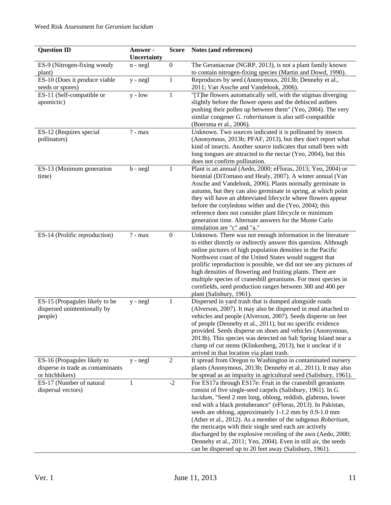| <b>Question ID</b>                                                                  | Answer -<br>Uncertainty | <b>Score</b>     | Notes (and references)                                                                                                                                                                                                                                                                                                                                                                                                                                                                                                                                                                                                                    |
|-------------------------------------------------------------------------------------|-------------------------|------------------|-------------------------------------------------------------------------------------------------------------------------------------------------------------------------------------------------------------------------------------------------------------------------------------------------------------------------------------------------------------------------------------------------------------------------------------------------------------------------------------------------------------------------------------------------------------------------------------------------------------------------------------------|
| ES-9 (Nitrogen-fixing woody<br>plant)                                               | $n - negl$              | $\boldsymbol{0}$ | The Geraniaceae (NGRP, 2013), is not a plant family known<br>to contain nitrogen-fixing species (Martin and Dowd, 1990).                                                                                                                                                                                                                                                                                                                                                                                                                                                                                                                  |
| ES-10 (Does it produce viable<br>seeds or spores)                                   | $y - negl$              | 1                | Reproduces by seed (Anonymous, 2013b; Dennehy et al.,<br>2011; Van Assche and Vandelook, 2006).                                                                                                                                                                                                                                                                                                                                                                                                                                                                                                                                           |
| ES-11 (Self-compatible or<br>apomictic)                                             | $y - low$               | $\mathbf{1}$     | "[T]he flowers automatically self, with the stigmas diverging<br>slightly before the flower opens and the dehisced anthers                                                                                                                                                                                                                                                                                                                                                                                                                                                                                                                |
|                                                                                     |                         |                  | pushing their pollen up between them" (Yeo, 2004). The very<br>similar congener G. robertianum is also self-compatible<br>(Boersma et al., 2006).                                                                                                                                                                                                                                                                                                                                                                                                                                                                                         |
| ES-12 (Requires special<br>pollinators)                                             | $? - max$               |                  | Unknown. Two sources indicated it is pollinated by insects<br>(Anonymous, 2013b; PFAF, 2013), but they don't report what<br>kind of insects. Another source indicates that small bees with<br>long tongues are attracted to the nectar (Yeo, 2004), but this<br>does not confirm pollination.                                                                                                                                                                                                                                                                                                                                             |
| ES-13 (Minimum generation<br>time)                                                  | $b - negl$              | 1                | Plant is an annual (Aedo, 2000; eFloras, 2013; Yeo, 2004) or<br>biennial (DiTomaso and Healy, 2007). A winter annual (Van<br>Assche and Vandelook, 2006). Plants normally germinate in<br>autumn, but they can also germinate in spring, at which point<br>they will have an abbreviated lifecycle where flowers appear<br>before the cotyledons wither and die (Yeo, 2004); this<br>reference does not consider plant lifecycle or minimum<br>generation time. Alternate answers for the Monte Carlo<br>simulation are "c" and "a."                                                                                                      |
| ES-14 (Prolific reproduction)                                                       | $? - max$               | $\boldsymbol{0}$ | Unknown. There was not enough information in the literature<br>to either directly or indirectly answer this question. Although<br>online pictures of high population densities in the Pacific<br>Northwest coast of the United States would suggest that<br>prolific reproduction is possible, we did not see any pictures of<br>high densities of flowering and fruiting plants. There are<br>multiple species of cranesbill geraniums. For most species in<br>cornfields, seed production ranges between 300 and 400 per<br>plant (Salisbury, 1961).                                                                                    |
| ES-15 (Propagules likely to be<br>dispersed unintentionally by<br>people)           | y - negl                | 1                | Dispersed in yard trash that is dumped alongside roads<br>(Alverson, 2007). It may also be dispersed in mud attached to<br>vehicles and people (Alverson, 2007). Seeds disperse on feet<br>of people (Dennehy et al., 2011), but no specific evidence<br>provided. Seeds disperse on shoes and vehicles (Anonymous,<br>2013b). This species was detected on Salt Spring Island near a<br>clump of cut stems (Klinkenberg, 2013), but it unclear if it<br>arrived in that location via plant trash.                                                                                                                                        |
| ES-16 (Propagules likely to<br>disperse in trade as contaminants<br>or hitchhikers) | y - negl                | 2                | It spread from Oregon to Washington in contaminated nursery<br>plants (Anonymous, 2013b; Dennehy et al., 2011). It may also<br>be spread as an impurity in agricultural seed (Salisbury, 1961).                                                                                                                                                                                                                                                                                                                                                                                                                                           |
| ES-17 (Number of natural<br>dispersal vectors)                                      | 1                       | $-2$             | For ES17a through ES17e: Fruit in the cranesbill geraniums<br>consist of five single-seed carpels (Salisbury, 1961). In G.<br>lucidum, "Seed 2 mm long, oblong, reddish, glabrous, lower<br>end with a black protuberance" (eFloras, 2013). In Pakistan,<br>seeds are oblong, approximately 1-1.2 mm by 0.9-1.0 mm<br>(Ather et al., 2012). As a member of the subgenus Robertium,<br>the mericarps with their single seed each are actively<br>discharged by the explosive recoiling of the awn (Aedo, 2000;<br>Dennehy et al., 2011; Yeo, 2004). Even in still air, the seeds<br>can be dispersed up to 20 feet away (Salisbury, 1961). |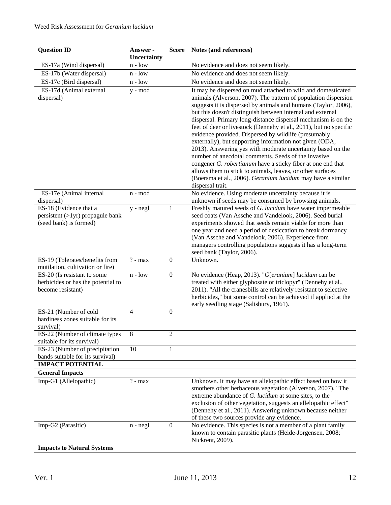| <b>Question ID</b>                                                 | Answer -       | Score            | Notes (and references)                                                                                                         |
|--------------------------------------------------------------------|----------------|------------------|--------------------------------------------------------------------------------------------------------------------------------|
|                                                                    | Uncertainty    |                  |                                                                                                                                |
| ES-17a (Wind dispersal)                                            | $n - low$      |                  | No evidence and does not seem likely.                                                                                          |
| ES-17b (Water dispersal)                                           | $n - low$      |                  | No evidence and does not seem likely.                                                                                          |
| ES-17c (Bird dispersal)                                            | $n - low$      |                  | No evidence and does not seem likely.                                                                                          |
| ES-17d (Animal external<br>dispersal)                              | y - mod        |                  | It may be dispersed on mud attached to wild and domesticated<br>animals (Alverson, 2007). The pattern of population dispersion |
|                                                                    |                |                  | suggests it is dispersed by animals and humans (Taylor, 2006),<br>but this doesn't distinguish between internal and external   |
|                                                                    |                |                  | dispersal. Primary long-distance dispersal mechanism is on the                                                                 |
|                                                                    |                |                  | feet of deer or livestock (Dennehy et al., 2011), but no specific                                                              |
|                                                                    |                |                  | evidence provided. Dispersed by wildlife (presumably<br>externally), but supporting information not given (ODA,                |
|                                                                    |                |                  | 2013). Answering yes with moderate uncertainty based on the                                                                    |
|                                                                    |                |                  | number of anecdotal comments. Seeds of the invasive                                                                            |
|                                                                    |                |                  | congener G. robertianum have a sticky fiber at one end that<br>allows them to stick to animals, leaves, or other surfaces      |
|                                                                    |                |                  | (Boersma et al., 2006). Geranium lucidum may have a similar                                                                    |
|                                                                    |                |                  | dispersal trait.                                                                                                               |
| ES-17e (Animal internal                                            | n - mod        |                  | No evidence. Using moderate uncertainty because it is                                                                          |
| dispersal)                                                         |                |                  | unknown if seeds may be consumed by browsing animals.                                                                          |
| ES-18 (Evidence that a                                             | $y - negl$     | 1                | Freshly matured seeds of G. lucidum have water impermeable                                                                     |
| persistent $(>1$ yr) propagule bank                                |                |                  | seed coats (Van Assche and Vandelook, 2006). Seed burial                                                                       |
| (seed bank) is formed)                                             |                |                  | experiments showed that seeds remain viable for more than                                                                      |
|                                                                    |                |                  | one year and need a period of desiccation to break dormancy                                                                    |
|                                                                    |                |                  | (Van Assche and Vandelook, 2006). Experience from                                                                              |
|                                                                    |                |                  | managers controlling populations suggests it has a long-term<br>seed bank (Taylor, 2006).                                      |
| ES-19 (Tolerates/benefits from<br>mutilation, cultivation or fire) | $? - max$      | $\boldsymbol{0}$ | Unknown.                                                                                                                       |
| ES-20 (Is resistant to some                                        | $n - low$      | $\boldsymbol{0}$ | No evidence (Heap, 2013). "G[eranium] lucidum can be                                                                           |
| herbicides or has the potential to                                 |                |                  | treated with either glyphosate or triclopyr" (Dennehy et al.,                                                                  |
| become resistant)                                                  |                |                  | 2011). "All the cranesbills are relatively resistant to selective                                                              |
|                                                                    |                |                  | herbicides," but some control can be achieved if applied at the<br>early seedling stage (Salisbury, 1961).                     |
| ES-21 (Number of cold                                              | $\overline{4}$ | $\boldsymbol{0}$ |                                                                                                                                |
| hardiness zones suitable for its                                   |                |                  |                                                                                                                                |
| survival)                                                          |                |                  |                                                                                                                                |
| ES-22 (Number of climate types                                     | 8              | 2                |                                                                                                                                |
| suitable for its survival)<br>ES-23 (Number of precipitation       | 10             | $\mathbf{1}$     |                                                                                                                                |
| bands suitable for its survival)                                   |                |                  |                                                                                                                                |
| <b>IMPACT POTENTIAL</b>                                            |                |                  |                                                                                                                                |
| <b>General Impacts</b>                                             |                |                  |                                                                                                                                |
| Imp-G1 (Allelopathic)                                              | $? - max$      |                  | Unknown. It may have an allelopathic effect based on how it                                                                    |
|                                                                    |                |                  | smothers other herbaceous vegetation (Alverson, 2007). "The                                                                    |
|                                                                    |                |                  | extreme abundance of G. lucidum at some sites, to the                                                                          |
|                                                                    |                |                  | exclusion of other vegetation, suggests an allelopathic effect"                                                                |
|                                                                    |                |                  | (Dennehy et al., 2011). Answering unknown because neither                                                                      |
|                                                                    |                |                  | of these two sources provide any evidence.                                                                                     |
| Imp-G2 (Parasitic)                                                 | $n - negl$     | $\boldsymbol{0}$ | No evidence. This species is not a member of a plant family                                                                    |
|                                                                    |                |                  | known to contain parasitic plants (Heide-Jorgensen, 2008;<br>Nickrent, 2009).                                                  |
| <b>Impacts to Natural Systems</b>                                  |                |                  |                                                                                                                                |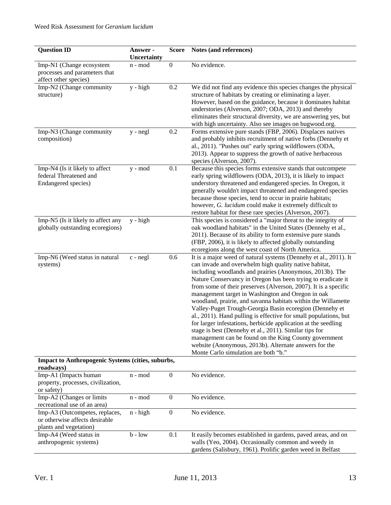| <b>Question ID</b>                                                                         | Answer -<br>Uncertainty | <b>Score</b>     | Notes (and references)                                                                                                                                                                                                                                                                                                                                                                                                                                                                                                                                                                                                                                                                                                                                                                                                                                              |
|--------------------------------------------------------------------------------------------|-------------------------|------------------|---------------------------------------------------------------------------------------------------------------------------------------------------------------------------------------------------------------------------------------------------------------------------------------------------------------------------------------------------------------------------------------------------------------------------------------------------------------------------------------------------------------------------------------------------------------------------------------------------------------------------------------------------------------------------------------------------------------------------------------------------------------------------------------------------------------------------------------------------------------------|
| Imp-N1 (Change ecosystem<br>processes and parameters that<br>affect other species)         | n - mod                 | $\boldsymbol{0}$ | No evidence.                                                                                                                                                                                                                                                                                                                                                                                                                                                                                                                                                                                                                                                                                                                                                                                                                                                        |
| Imp-N2 (Change community<br>structure)                                                     | $y - high$              | 0.2              | We did not find any evidence this species changes the physical<br>structure of habitats by creating or eliminating a layer.<br>However, based on the guidance, because it dominates habitat<br>understories (Alverson, 2007; ODA, 2013) and thereby<br>eliminates their structural diversity, we are answering yes, but<br>with high uncertainty. Also see images on bugwood.org.                                                                                                                                                                                                                                                                                                                                                                                                                                                                                   |
| Imp-N3 (Change community<br>composition)                                                   | y - negl                | 0.2              | Forms extensive pure stands (FBP, 2006). Displaces natives<br>and probably inhibits recruitment of native forbs (Dennehy et<br>al., 2011). "Pushes out" early spring wildflowers (ODA,<br>2013). Appear to suppress the growth of native herbaceous<br>species (Alverson, 2007).                                                                                                                                                                                                                                                                                                                                                                                                                                                                                                                                                                                    |
| Imp-N4 (Is it likely to affect<br>federal Threatened and<br>Endangered species)            | $y - mod$               | 0.1              | Because this species forms extensive stands that outcompete<br>early spring wildflowers (ODA, 2013), it is likely to impact<br>understory threatened and endangered species. In Oregon, it<br>generally wouldn't impact threatened and endangered species<br>because those species, tend to occur in prairie habitats;<br>however, G. lucidum could make it extremely difficult to<br>restore habitat for these rare species (Alverson, 2007).                                                                                                                                                                                                                                                                                                                                                                                                                      |
| Imp-N5 (Is it likely to affect any<br>globally outstanding ecoregions)                     | $y - high$              |                  | This species is considered a "major threat to the integrity of<br>oak woodland habitats" in the United States (Dennehy et al.,<br>2011). Because of its ability to form extensive pure stands<br>(FBP, 2006), it is likely to affected globally outstanding<br>ecoregions along the west coast of North America.                                                                                                                                                                                                                                                                                                                                                                                                                                                                                                                                                    |
| Imp-N6 (Weed status in natural<br>systems)                                                 | $c$ - $negl$            | 0.6              | It is a major weed of natural systems (Dennehy et al., 2011). It<br>can invade and overwhelm high quality native habitat,<br>including woodlands and prairies (Anonymous, 2013b). The<br>Nature Conservancy in Oregon has been trying to eradicate it<br>from some of their preserves (Alverson, 2007). It is a specific<br>management target in Washington and Oregon in oak<br>woodland, prairie, and savanna habitats within the Willamette<br>Valley-Puget Trough-Georgia Basin ecoregion (Dennehy et<br>al., 2011). Hand pulling is effective for small populations, but<br>for larger infestations, herbicide application at the seedling<br>stage is best (Dennehy et al., 2011). Similar tips for<br>management can be found on the King County government<br>website (Anonymous, 2013b). Alternate answers for the<br>Monte Carlo simulation are both "b." |
| <b>Impact to Anthropogenic Systems (cities, suburbs,</b><br>roadways)                      |                         |                  |                                                                                                                                                                                                                                                                                                                                                                                                                                                                                                                                                                                                                                                                                                                                                                                                                                                                     |
| Imp-A1 (Impacts human<br>property, processes, civilization,<br>or safety)                  | n - mod                 | $\boldsymbol{0}$ | No evidence.                                                                                                                                                                                                                                                                                                                                                                                                                                                                                                                                                                                                                                                                                                                                                                                                                                                        |
| Imp-A2 (Changes or limits<br>recreational use of an area)                                  | n - mod                 | $\boldsymbol{0}$ | No evidence.                                                                                                                                                                                                                                                                                                                                                                                                                                                                                                                                                                                                                                                                                                                                                                                                                                                        |
| Imp-A3 (Outcompetes, replaces,<br>or otherwise affects desirable<br>plants and vegetation) | $n - high$              | $\boldsymbol{0}$ | No evidence.                                                                                                                                                                                                                                                                                                                                                                                                                                                                                                                                                                                                                                                                                                                                                                                                                                                        |
| Imp-A4 (Weed status in<br>anthropogenic systems)                                           | $b - low$               | 0.1              | It easily becomes established in gardens, paved areas, and on<br>walls (Yeo, 2004). Occasionally common and weedy in<br>gardens (Salisbury, 1961). Prolific garden weed in Belfast                                                                                                                                                                                                                                                                                                                                                                                                                                                                                                                                                                                                                                                                                  |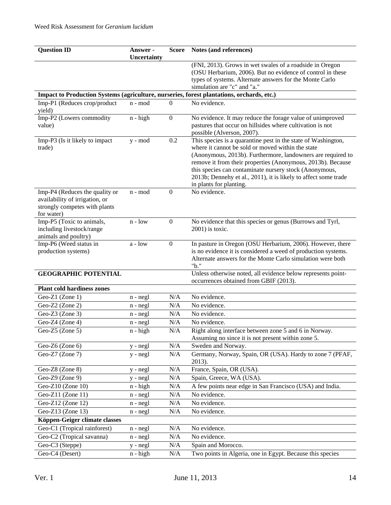| <b>Question ID</b>                                                                                              | Answer -           | <b>Score</b>     | Notes (and references)                                                                                                                                                                                                                                                                                                                                                                                   |
|-----------------------------------------------------------------------------------------------------------------|--------------------|------------------|----------------------------------------------------------------------------------------------------------------------------------------------------------------------------------------------------------------------------------------------------------------------------------------------------------------------------------------------------------------------------------------------------------|
|                                                                                                                 | <b>Uncertainty</b> |                  | (FNI, 2013). Grows in wet swales of a roadside in Oregon                                                                                                                                                                                                                                                                                                                                                 |
|                                                                                                                 |                    |                  | (OSU Herbarium, 2006). But no evidence of control in these                                                                                                                                                                                                                                                                                                                                               |
|                                                                                                                 |                    |                  | types of systems. Alternate answers for the Monte Carlo                                                                                                                                                                                                                                                                                                                                                  |
|                                                                                                                 |                    |                  | simulation are "c" and "a."                                                                                                                                                                                                                                                                                                                                                                              |
| Impact to Production Systems (agriculture, nurseries, forest plantations, orchards, etc.)                       |                    |                  |                                                                                                                                                                                                                                                                                                                                                                                                          |
| Imp-P1 (Reduces crop/product<br>yield)                                                                          | n - mod            | $\Omega$         | No evidence.                                                                                                                                                                                                                                                                                                                                                                                             |
| Imp-P2 (Lowers commodity<br>value)                                                                              | $n - high$         | $\boldsymbol{0}$ | No evidence. It may reduce the forage value of unimproved<br>pastures that occur on hillsides where cultivation is not<br>possible (Alverson, 2007).                                                                                                                                                                                                                                                     |
| Imp-P3 (Is it likely to impact<br>trade)                                                                        | y - mod            | 0.2              | This species is a quarantine pest in the state of Washington,<br>where it cannot be sold or moved within the state<br>(Anonymous, 2013b). Furthermore, landowners are required to<br>remove it from their properties (Anonymous, 2013b). Because<br>this species can contaminate nursery stock (Anonymous,<br>2013b; Dennehy et al., 2011), it is likely to affect some trade<br>in plants for planting. |
| Imp-P4 (Reduces the quality or<br>availability of irrigation, or<br>strongly competes with plants<br>for water) | n - mod            | $\boldsymbol{0}$ | No evidence.                                                                                                                                                                                                                                                                                                                                                                                             |
| Imp-P5 (Toxic to animals,                                                                                       | $n - low$          | $\overline{0}$   | No evidence that this species or genus (Burrows and Tyrl,                                                                                                                                                                                                                                                                                                                                                |
| including livestock/range                                                                                       |                    |                  | 2001) is toxic.                                                                                                                                                                                                                                                                                                                                                                                          |
| animals and poultry)                                                                                            |                    |                  |                                                                                                                                                                                                                                                                                                                                                                                                          |
| Imp-P6 (Weed status in<br>production systems)                                                                   | $a - low$          | $\boldsymbol{0}$ | In pasture in Oregon (OSU Herbarium, 2006). However, there<br>is no evidence it is considered a weed of production systems.                                                                                                                                                                                                                                                                              |
|                                                                                                                 |                    |                  | Alternate answers for the Monte Carlo simulation were both<br>"b."                                                                                                                                                                                                                                                                                                                                       |
| <b>GEOGRAPHIC POTENTIAL</b>                                                                                     |                    |                  | Unless otherwise noted, all evidence below represents point-<br>occurrences obtained from GBIF (2013).                                                                                                                                                                                                                                                                                                   |
| <b>Plant cold hardiness zones</b>                                                                               |                    |                  |                                                                                                                                                                                                                                                                                                                                                                                                          |
| Geo-Z1 (Zone 1)                                                                                                 | n - negl           | N/A              | No evidence.                                                                                                                                                                                                                                                                                                                                                                                             |
| Geo-Z2 (Zone 2)                                                                                                 | $n - negl$         | N/A              | No evidence.                                                                                                                                                                                                                                                                                                                                                                                             |
| Geo-Z3 (Zone 3)                                                                                                 | n - negl           | N/A              | No evidence.                                                                                                                                                                                                                                                                                                                                                                                             |
| Geo-Z4 (Zone 4)                                                                                                 | $n - negl$         | N/A              | No evidence.                                                                                                                                                                                                                                                                                                                                                                                             |
| Geo-Z5 (Zone 5)                                                                                                 | n - high           | N/A              | Right along interface between zone 5 and 6 in Norway.<br>Assuming no since it is not present within zone 5.                                                                                                                                                                                                                                                                                              |
| Geo-Z6 (Zone 6)                                                                                                 | y - negl           | N/A              | Sweden and Norway.                                                                                                                                                                                                                                                                                                                                                                                       |
| Geo-Z7 (Zone 7)                                                                                                 | $y - negl$         | N/A              | Germany, Norway, Spain, OR (USA). Hardy to zone 7 (PFAF,<br>2013).                                                                                                                                                                                                                                                                                                                                       |
| Geo-Z8 (Zone 8)                                                                                                 | y - negl           | N/A              | France, Spain, OR (USA).                                                                                                                                                                                                                                                                                                                                                                                 |
| Geo-Z9 (Zone 9)                                                                                                 | y - negl           | N/A              | Spain, Greece, WA (USA).                                                                                                                                                                                                                                                                                                                                                                                 |
| Geo-Z10 (Zone 10)                                                                                               | $n - high$         | N/A              | A few points near edge in San Francisco (USA) and India.                                                                                                                                                                                                                                                                                                                                                 |
| Geo-Z11 (Zone 11)                                                                                               | $n - negl$         | N/A              | No evidence.                                                                                                                                                                                                                                                                                                                                                                                             |
| Geo-Z12 (Zone 12)                                                                                               | $n - negl$         | N/A              | No evidence.                                                                                                                                                                                                                                                                                                                                                                                             |
| Geo-Z13 (Zone 13)                                                                                               | $n - negl$         | N/A              | No evidence.                                                                                                                                                                                                                                                                                                                                                                                             |
| Köppen-Geiger climate classes                                                                                   |                    |                  |                                                                                                                                                                                                                                                                                                                                                                                                          |
| Geo-C1 (Tropical rainforest)                                                                                    | $n - negl$         | N/A              | No evidence.                                                                                                                                                                                                                                                                                                                                                                                             |
| Geo-C2 (Tropical savanna)                                                                                       | n - negl           | N/A              | No evidence.                                                                                                                                                                                                                                                                                                                                                                                             |
| Geo-C3 (Steppe)                                                                                                 | y - negl           | N/A              | Spain and Morocco.                                                                                                                                                                                                                                                                                                                                                                                       |
| Geo-C4 (Desert)                                                                                                 | $n - high$         | $\rm N/A$        | Two points in Algeria, one in Egypt. Because this species                                                                                                                                                                                                                                                                                                                                                |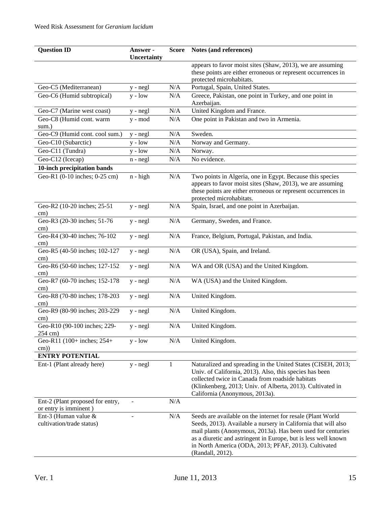| <b>Question ID</b>                                        | Answer -<br>Uncertainty | <b>Score</b> | Notes (and references)                                                                    |
|-----------------------------------------------------------|-------------------------|--------------|-------------------------------------------------------------------------------------------|
|                                                           |                         |              | appears to favor moist sites (Shaw, 2013), we are assuming                                |
|                                                           |                         |              | these points are either erroneous or represent occurrences in<br>protected microhabitats. |
| Geo-C5 (Mediterranean)                                    | y - negl                | N/A          | Portugal, Spain, United States.                                                           |
| Geo-C6 (Humid subtropical)                                | $y - low$               | N/A          | Greece, Pakistan, one point in Turkey, and one point in                                   |
|                                                           |                         |              | Azerbaijan.                                                                               |
| Geo-C7 (Marine west coast)                                | y - negl                | N/A          | United Kingdom and France.                                                                |
| Geo-C8 (Humid cont. warm                                  | y - mod                 | N/A          | One point in Pakistan and two in Armenia.                                                 |
| sum.)                                                     |                         |              |                                                                                           |
| Geo-C9 (Humid cont. cool sum.)                            | y - negl                | N/A          | Sweden.                                                                                   |
| Geo-C10 (Subarctic)                                       | $y - low$               | N/A          | Norway and Germany.                                                                       |
| Geo-C11 (Tundra)                                          | $y - low$               | N/A          | Norway.                                                                                   |
| Geo-C12 (Icecap)                                          | n - negl                | N/A          | No evidence.                                                                              |
| 10-inch precipitation bands                               |                         |              |                                                                                           |
| Geo-R1 (0-10 inches; 0-25 cm)                             | $n - high$              | N/A          | Two points in Algeria, one in Egypt. Because this species                                 |
|                                                           |                         |              | appears to favor moist sites (Shaw, 2013), we are assuming                                |
|                                                           |                         |              | these points are either erroneous or represent occurrences in<br>protected microhabitats. |
| Geo-R2 (10-20 inches; 25-51                               | $y - negl$              | N/A          | Spain, Israel, and one point in Azerbaijan.                                               |
| cm)                                                       |                         |              |                                                                                           |
| Geo-R3 (20-30 inches; 51-76                               | $y - negl$              | N/A          | Germany, Sweden, and France.                                                              |
| cm)                                                       |                         |              |                                                                                           |
| Geo-R4 (30-40 inches; 76-102                              | $y - negl$              | N/A          | France, Belgium, Portugal, Pakistan, and India.                                           |
| cm)                                                       |                         |              |                                                                                           |
| Geo-R5 (40-50 inches; 102-127                             | $y - negl$              | $\rm N/A$    | OR (USA), Spain, and Ireland.                                                             |
| cm)<br>Geo-R6 (50-60 inches; 127-152                      |                         | $\rm N/A$    | WA and OR (USA) and the United Kingdom.                                                   |
| cm)                                                       | $y - negl$              |              |                                                                                           |
| Geo-R7 (60-70 inches; 152-178                             | $y - negl$              | $\rm N/A$    | WA (USA) and the United Kingdom.                                                          |
| cm)                                                       |                         |              |                                                                                           |
| Geo-R8 (70-80 inches; 178-203                             | $y - negl$              | N/A          | United Kingdom.                                                                           |
| cm)                                                       |                         |              |                                                                                           |
| Geo-R9 (80-90 inches; 203-229                             | $y - negl$              | N/A          | United Kingdom.                                                                           |
| cm)                                                       |                         |              |                                                                                           |
| Geo-R10 (90-100 inches; 229-<br>254 cm)                   | y - negl                | N/A          | United Kingdom.                                                                           |
| Geo-R11 (100+ inches; 254+                                | $y - low$               | N/A          | United Kingdom.                                                                           |
| $\text{cm}$ )                                             |                         |              |                                                                                           |
| <b>ENTRY POTENTIAL</b>                                    |                         |              |                                                                                           |
| Ent-1 (Plant already here)                                | $y - negl$              | 1            | Naturalized and spreading in the United States (CISEH, 2013;                              |
|                                                           |                         |              | Univ. of California, 2013). Also, this species has been                                   |
|                                                           |                         |              | collected twice in Canada from roadside habitats                                          |
|                                                           |                         |              | (Klinkenberg, 2013; Univ. of Alberta, 2013). Cultivated in                                |
|                                                           |                         |              | California (Anonymous, 2013a).                                                            |
| Ent-2 (Plant proposed for entry,<br>or entry is imminent) |                         | N/A          |                                                                                           |
| Ent-3 (Human value &                                      |                         | $\rm N/A$    | Seeds are available on the internet for resale (Plant World                               |
| cultivation/trade status)                                 |                         |              | Seeds, 2013). Available a nursery in California that will also                            |
|                                                           |                         |              | mail plants (Anonymous, 2013a). Has been used for centuries                               |
|                                                           |                         |              | as a diuretic and astringent in Europe, but is less well known                            |
|                                                           |                         |              | in North America (ODA, 2013; PFAF, 2013). Cultivated                                      |
|                                                           |                         |              | (Randall, 2012).                                                                          |